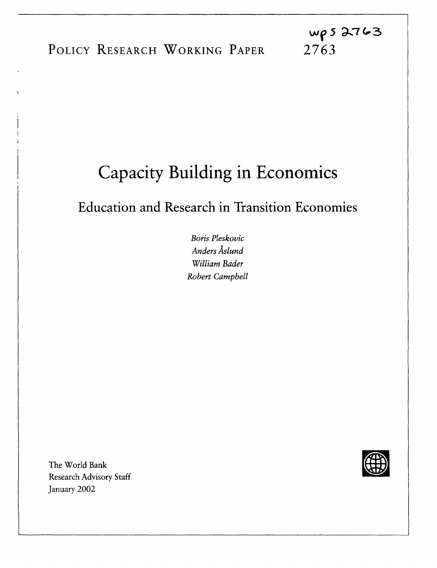# Capacity Building in Economics

Education and Research in Transition Economies

*Boris Pleskovic Anders Aslund William Bader Robert Campbell*

The World Bank Research Advisory Staff January 2002

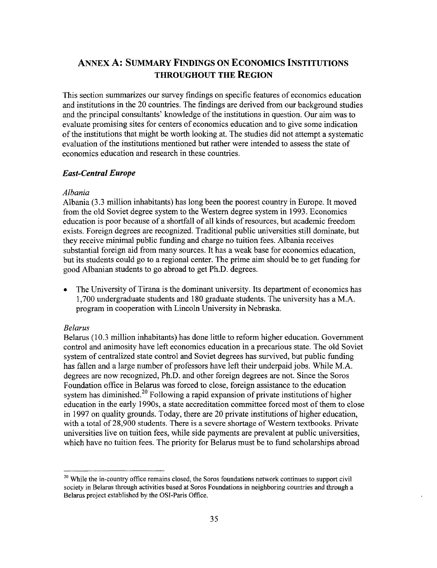## ANNEX A: **SUMMARY FINDINGS ON ECONOMICS INSTITUTIONS THROUGHOUT THE REGION**

This section summarizes our survey findings on specific features of economics education and institutions in the 20 countries. The findings are derived from our background studies and the principal consultants' knowledge of the institutions in question. Our aim was to evaluate promising sites for centers of economics education and to give some indication of the institutions that might be worth looking at. The studies did not attempt a systematic evaluation of the institutions mentioned but rather were intended to assess the state of economics education and research in these countries.

#### *East-Central Europe*

#### *Albania*

Albania (3.3 million inhabitants) has long been the poorest country in Europe. It moved from the old Soviet degree system to the Western degree system in 1993. Economics education is poor because of a shortfall of all kinds of resources, but academic freedom exists. Foreign degrees are recognized. Traditional public universities still dominate, but they receive minimal public funding and charge no tuition fees. Albania receives substantial foreign aid from many sources. It has a weak base for economics education, but its students could go to a regional center. The prime aim should be to get funding for good Albanian students to go abroad to get Ph.D. degrees.

The University of Tirana is the dominant university. Its department of economics has 1,700 undergraduate students and 180 graduate students. The university has a M.A. program in cooperation with Lincoln University in Nebraska.

#### *Belarus*

Belarus (10.3 million inhabitants) has done little to reform higher education. Government control and animosity have left economics education in a precarious state. The old Soviet system of centralized state control and Soviet degrees has survived, but public funding has fallen and a large number of professors have left their underpaid jobs. While M.A. degrees are now recognized, Ph.D. and other foreign degrees are not. Since the Soros Foundation office in Belarus was forced to close, foreign assistance to the education system has diminished.<sup>20</sup> Following a rapid expansion of private institutions of higher education in the early 1990s, a state accreditation committee forced most of them to close in 1997 on quality grounds. Today, there are 20 private institutions of higher education, with a total of 28,900 students. There is a severe shortage of Western textbooks. Private universities live on tuition fees, while side payments are prevalent at public universities, which have no tuition fees. The priority for Belarus must be to fund scholarships abroad

<sup>&</sup>lt;sup>20</sup> While the in-country office remains closed, the Soros foundations network continues to support civil society in Belarus through activities based at Soros Foundations in neighboring countries and through a Belarus project established by the OSI-Paris Office.